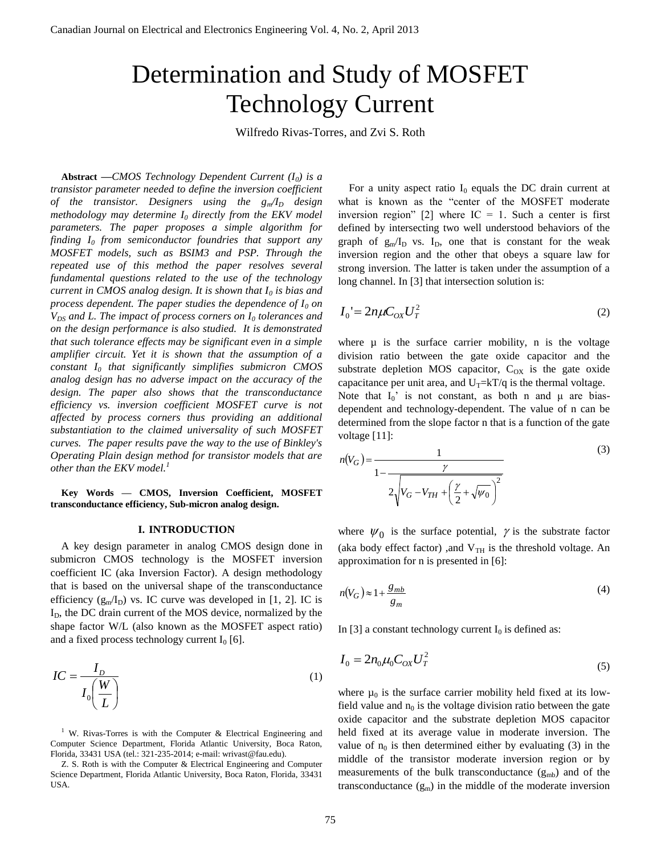# Determination and Study of MOSFET Technology Current

Wilfredo Rivas-Torres, and Zvi S. Roth

**Abstract** *—CMOS Technology Dependent Current (I0) is a transistor parameter needed to define the inversion coefficient of the transistor. Designers using the gm/I<sup>D</sup> design methodology may determine I<sup>0</sup> directly from the EKV model parameters. The paper proposes a simple algorithm for finding I<sup>0</sup> from semiconductor foundries that support any MOSFET models, such as BSIM3 and PSP. Through the repeated use of this method the paper resolves several fundamental questions related to the use of the technology current in CMOS analog design. It is shown that I<sup>0</sup> is bias and process dependent. The paper studies the dependence of I<sup>0</sup> on VDS and L. The impact of process corners on I<sup>0</sup> tolerances and on the design performance is also studied. It is demonstrated that such tolerance effects may be significant even in a simple amplifier circuit. Yet it is shown that the assumption of a constant I<sup>0</sup> that significantly simplifies submicron CMOS analog design has no adverse impact on the accuracy of the design. The paper also shows that the transconductance efficiency vs. inversion coefficient MOSFET curve is not affected by process corners thus providing an additional substantiation to the claimed universality of such MOSFET curves. The paper results pave the way to the use of Binkley's Operating Plain design method for transistor models that are other than the EKV model.<sup>1</sup>*

**Key Words — CMOS, Inversion Coefficient, MOSFET transconductance efficiency, Sub-micron analog design.** 

#### **I. INTRODUCTION**

A key design parameter in analog CMOS design done in submicron CMOS technology is the MOSFET inversion coefficient IC (aka Inversion Factor). A design methodology that is based on the universal shape of the transconductance efficiency  $(g_m/I_D)$  vs. IC curve was developed in [1, 2]. IC is  $I<sub>D</sub>$ , the DC drain current of the MOS device, normalized by the shape factor W/L (also known as the MOSFET aspect ratio) and a fixed process technology current  $I_0$  [6].

$$
IC = \frac{I_D}{I_0 \left(\frac{W}{L}\right)}\tag{1}
$$

<sup>1</sup> W. Rivas-Torres is with the Computer & Electrical Engineering and Computer Science Department, Florida Atlantic University, Boca Raton, Florida, 33431 USA (tel.: 321-235-2014; e-mail: wrivast@fau.edu).

Z. S. Roth is with the Computer & Electrical Engineering and Computer Science Department, Florida Atlantic University, Boca Raton, Florida, 33431 USA.

For a unity aspect ratio  $I_0$  equals the DC drain current at what is known as the "center of the MOSFET moderate inversion region" [2] where  $IC = 1$ . Such a center is first defined by intersecting two well understood behaviors of the graph of  $g_m/I_D$  vs.  $I_D$ , one that is constant for the weak inversion region and the other that obeys a square law for strong inversion. The latter is taken under the assumption of a long channel. In [3] that intersection solution is:

$$
I_0' = 2n\mu C_{ox} U_T^2 \tag{2}
$$

where  $\mu$  is the surface carrier mobility, n is the voltage division ratio between the gate oxide capacitor and the substrate depletion MOS capacitor,  $C_{OX}$  is the gate oxide capacitance per unit area, and  $U_T= kT/q$  is the thermal voltage. Note that  $I_0'$  is not constant, as both n and  $\mu$  are bias-

dependent and technology-dependent. The value of n can be determined from the slope factor n that is a function of the gate voltage [11]:

$$
n(V_G) = \frac{1}{1 - \frac{\gamma}{2\sqrt{V_G - V_{TH} + \left(\frac{\gamma}{2} + \sqrt{\psi_0}\right)^2}}}
$$
(3)

where  $\psi_0$  is the surface potential,  $\gamma$  is the substrate factor (aka body effect factor) ,and  $V<sub>TH</sub>$  is the threshold voltage. An approximation for n is presented in [6]:

$$
n(V_G) \approx 1 + \frac{g_{mb}}{g_m} \tag{4}
$$

In [3] a constant technology current  $I_0$  is defined as:

$$
I_0 = 2n_0 \mu_0 C_{OX} U_T^2
$$
\n(5)

where  $\mu_0$  is the surface carrier mobility held fixed at its lowfield value and  $n_0$  is the voltage division ratio between the gate oxide capacitor and the substrate depletion MOS capacitor held fixed at its average value in moderate inversion. The value of  $n_0$  is then determined either by evaluating (3) in the middle of the transistor moderate inversion region or by measurements of the bulk transconductance  $(g_{mb})$  and of the transconductance  $(g_m)$  in the middle of the moderate inversion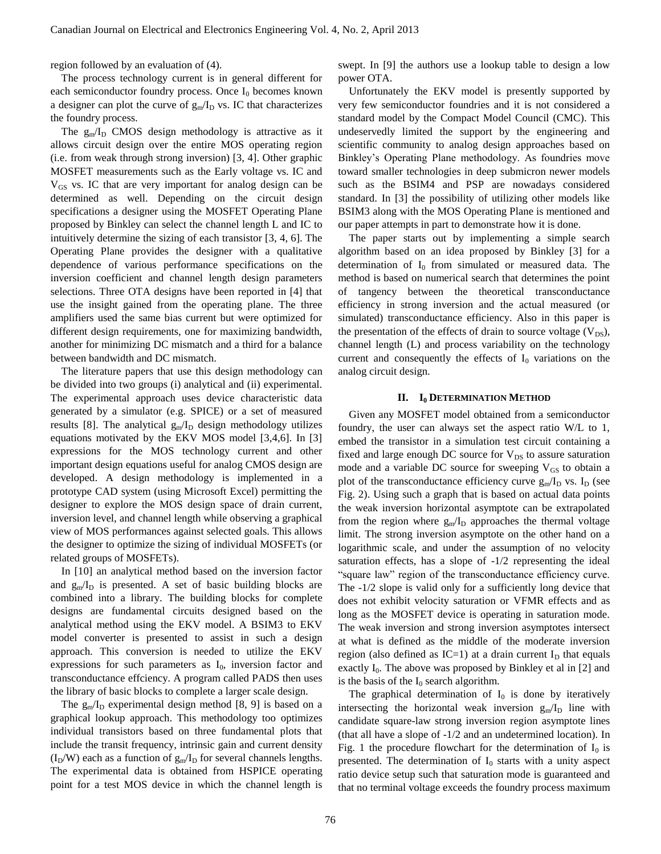region followed by an evaluation of (4).

The process technology current is in general different for each semiconductor foundry process. Once  $I_0$  becomes known a designer can plot the curve of  $g_m/I_D$  vs. IC that characterizes the foundry process.

The  $g_{m}/I_{D}$  CMOS design methodology is attractive as it allows circuit design over the entire MOS operating region (i.e. from weak through strong inversion) [3, 4]. Other graphic MOSFET measurements such as the Early voltage vs. IC and  $V_{GS}$  vs. IC that are very important for analog design can be determined as well. Depending on the circuit design specifications a designer using the MOSFET Operating Plane proposed by Binkley can select the channel length L and IC to intuitively determine the sizing of each transistor [3, 4, 6]. The Operating Plane provides the designer with a qualitative dependence of various performance specifications on the inversion coefficient and channel length design parameters selections. Three OTA designs have been reported in [4] that use the insight gained from the operating plane. The three amplifiers used the same bias current but were optimized for different design requirements, one for maximizing bandwidth, another for minimizing DC mismatch and a third for a balance between bandwidth and DC mismatch.

The literature papers that use this design methodology can be divided into two groups (i) analytical and (ii) experimental. The experimental approach uses device characteristic data generated by a simulator (e.g. SPICE) or a set of measured results [8]. The analytical  $g_m/I_D$  design methodology utilizes equations motivated by the EKV MOS model [3,4,6]. In [3] expressions for the MOS technology current and other important design equations useful for analog CMOS design are developed. A design methodology is implemented in a prototype CAD system (using Microsoft Excel) permitting the designer to explore the MOS design space of drain current, inversion level, and channel length while observing a graphical view of MOS performances against selected goals. This allows the designer to optimize the sizing of individual MOSFETs (or related groups of MOSFETs).

In [10] an analytical method based on the inversion factor and  $g_m/I_D$  is presented. A set of basic building blocks are combined into a library. The building blocks for complete designs are fundamental circuits designed based on the analytical method using the EKV model. A BSIM3 to EKV model converter is presented to assist in such a design approach. This conversion is needed to utilize the EKV expressions for such parameters as  $I_0$ , inversion factor and transconductance effciency. A program called PADS then uses the library of basic blocks to complete a larger scale design.

The  $g_m/I_D$  experimental design method [8, 9] is based on a graphical lookup approach. This methodology too optimizes individual transistors based on three fundamental plots that include the transit frequency, intrinsic gain and current density  $(I_D/W)$  each as a function of  $g_m/I_D$  for several channels lengths. The experimental data is obtained from HSPICE operating point for a test MOS device in which the channel length is swept. In [9] the authors use a lookup table to design a low power OTA.

Unfortunately the EKV model is presently supported by very few semiconductor foundries and it is not considered a standard model by the Compact Model Council (CMC). This undeservedly limited the support by the engineering and scientific community to analog design approaches based on Binkley's Operating Plane methodology. As foundries move toward smaller technologies in deep submicron newer models such as the BSIM4 and PSP are nowadays considered standard. In [3] the possibility of utilizing other models like BSIM3 along with the MOS Operating Plane is mentioned and our paper attempts in part to demonstrate how it is done.

The paper starts out by implementing a simple search algorithm based on an idea proposed by Binkley [3] for a determination of  $I_0$  from simulated or measured data. The method is based on numerical search that determines the point of tangency between the theoretical transconductance efficiency in strong inversion and the actual measured (or simulated) transconductance efficiency. Also in this paper is the presentation of the effects of drain to source voltage  $(V_{DS})$ , channel length (L) and process variability on the technology current and consequently the effects of  $I_0$  variations on the analog circuit design.

## **II. I<sup>0</sup> DETERMINATION METHOD**

Given any MOSFET model obtained from a semiconductor foundry, the user can always set the aspect ratio W/L to 1, embed the transistor in a simulation test circuit containing a fixed and large enough DC source for  $V_{DS}$  to assure saturation mode and a variable DC source for sweeping  $V_{GS}$  to obtain a plot of the transconductance efficiency curve  $g_m/I_D$  vs.  $I_D$  (see Fig. 2). Using such a graph that is based on actual data points the weak inversion horizontal asymptote can be extrapolated from the region where  $g_m/I_D$  approaches the thermal voltage limit. The strong inversion asymptote on the other hand on a logarithmic scale, and under the assumption of no velocity saturation effects, has a slope of -1/2 representing the ideal "square law" region of the transconductance efficiency curve. The -1/2 slope is valid only for a sufficiently long device that does not exhibit velocity saturation or VFMR effects and as long as the MOSFET device is operating in saturation mode. The weak inversion and strong inversion asymptotes intersect at what is defined as the middle of the moderate inversion region (also defined as IC=1) at a drain current  $I_D$  that equals exactly  $I_0$ . The above was proposed by Binkley et al in [2] and is the basis of the  $I_0$  search algorithm.

The graphical determination of  $I_0$  is done by iteratively intersecting the horizontal weak inversion  $g_{m}/I_{D}$  line with candidate square-law strong inversion region asymptote lines (that all have a slope of -1/2 and an undetermined location). In Fig. 1 the procedure flowchart for the determination of  $I_0$  is presented. The determination of  $I_0$  starts with a unity aspect ratio device setup such that saturation mode is guaranteed and that no terminal voltage exceeds the foundry process maximum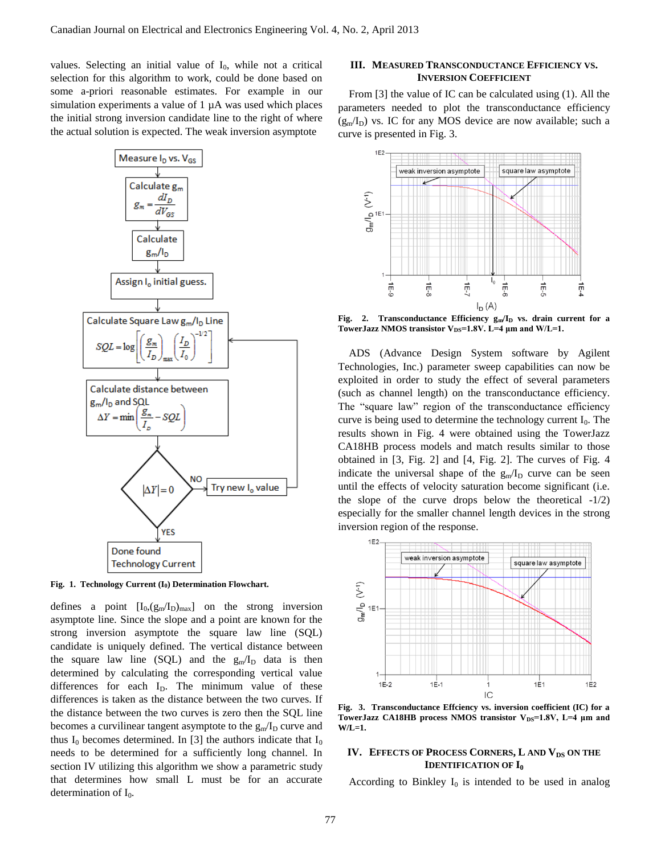values. Selecting an initial value of  $I_0$ , while not a critical selection for this algorithm to work, could be done based on some a-priori reasonable estimates. For example in our simulation experiments a value of 1  $\mu$ A was used which places the initial strong inversion candidate line to the right of where the actual solution is expected. The weak inversion asymptote



**Fig. 1. Technology Current (I0) Determination Flowchart.**

defines a point  $[I_0, (g_m/I_D)_{max}]$  on the strong inversion asymptote line. Since the slope and a point are known for the strong inversion asymptote the square law line (SQL) candidate is uniquely defined. The vertical distance between the square law line (SQL) and the  $g_m/I_D$  data is then determined by calculating the corresponding vertical value differences for each  $I<sub>D</sub>$ . The minimum value of these differences is taken as the distance between the two curves. If the distance between the two curves is zero then the SQL line becomes a curvilinear tangent asymptote to the  $g_m/I_D$  curve and thus  $I_0$  becomes determined. In [3] the authors indicate that  $I_0$ needs to be determined for a sufficiently long channel. In section IV utilizing this algorithm we show a parametric study that determines how small L must be for an accurate determination of  $I_0$ .

# **III. MEASURED TRANSCONDUCTANCE EFFICIENCY VS. INVERSION COEFFICIENT**

From [3] the value of IC can be calculated using (1). All the parameters needed to plot the transconductance efficiency  $(g<sub>m</sub>/I<sub>D</sub>)$  vs. IC for any MOS device are now available; such a curve is presented in Fig. 3.



**Fig. 2. Transconductance Efficiency gm/I<sup>D</sup> vs. drain current for a**  TowerJazz NMOS transistor V<sub>DS</sub>=1.8V. L=4 μm and W/L=1.

ADS (Advance Design System software by Agilent Technologies, Inc.) parameter sweep capabilities can now be exploited in order to study the effect of several parameters (such as channel length) on the transconductance efficiency. The "square law" region of the transconductance efficiency curve is being used to determine the technology current  $I_0$ . The results shown in Fig. 4 were obtained using the TowerJazz CA18HB process models and match results similar to those obtained in [3, Fig. 2] and [4, Fig. 2]. The curves of Fig. 4 indicate the universal shape of the  $g_m/I_D$  curve can be seen until the effects of velocity saturation become significant (i.e. the slope of the curve drops below the theoretical  $-1/2$ ) especially for the smaller channel length devices in the strong inversion region of the response.



**Fig. 3. Transconductance Effciency vs. inversion coefficient (IC) for a**  TowerJazz CA18HB process NMOS transistor V<sub>DS</sub>=1.8V, L=4 μm and **W/L=1.**

## **IV. EFFECTS OF PROCESS CORNERS, L AND VDS ON THE IDENTIFICATION OF I<sup>0</sup>**

According to Binkley  $I_0$  is intended to be used in analog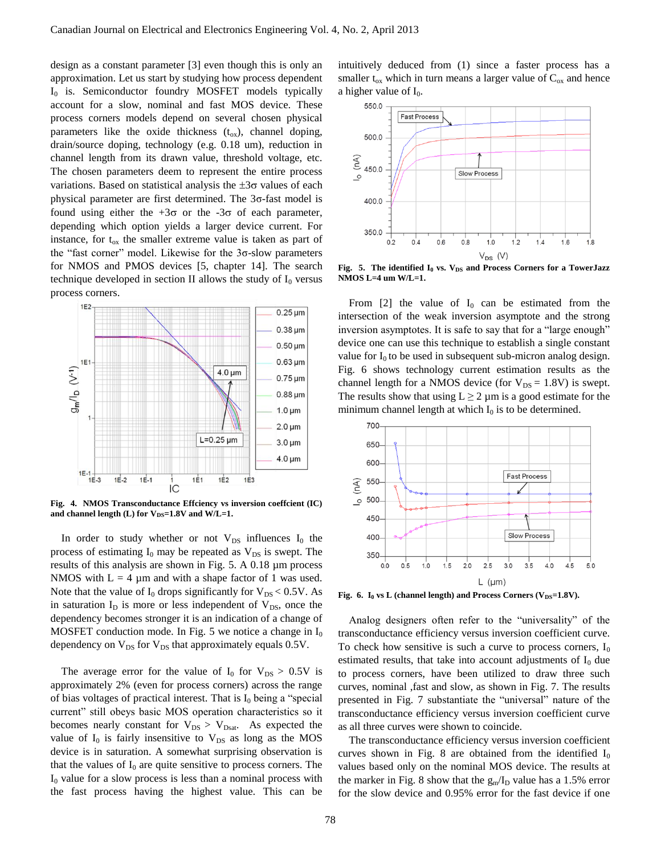design as a constant parameter [3] even though this is only an approximation. Let us start by studying how process dependent  $I_0$  is. Semiconductor foundry MOSFET models typically account for a slow, nominal and fast MOS device. These process corners models depend on several chosen physical parameters like the oxide thickness  $(t_{ox})$ , channel doping, drain/source doping, technology (e.g. 0.18 um), reduction in channel length from its drawn value, threshold voltage, etc. The chosen parameters deem to represent the entire process variations. Based on statistical analysis the  $\pm 3\sigma$  values of each physical parameter are first determined. The 3σ-fast model is found using either the  $+3\sigma$  or the  $-3\sigma$  of each parameter, depending which option yields a larger device current. For instance, for  $t_{ox}$  the smaller extreme value is taken as part of the "fast corner" model. Likewise for the  $3\sigma$ -slow parameters for NMOS and PMOS devices [5, chapter 14]. The search technique developed in section II allows the study of  $I_0$  versus process corners.



**Fig. 4. NMOS Transconductance Effciency vs inversion coeffcient (IC)**  and channel length (L) for  $V_{DS}$ =1.8V and W/L=1.

In order to study whether or not  $V_{DS}$  influences  $I_0$  the process of estimating  $I_0$  may be repeated as  $V_{DS}$  is swept. The results of this analysis are shown in Fig. 5. A 0.18 µm process NMOS with  $L = 4 \mu m$  and with a shape factor of 1 was used. Note that the value of  $I_0$  drops significantly for  $V_{DS} < 0.5V$ . As in saturation  $I_D$  is more or less independent of  $V_{DS}$ , once the dependency becomes stronger it is an indication of a change of MOSFET conduction mode. In Fig. 5 we notice a change in  $I_0$ dependency on  $V_{DS}$  for  $V_{DS}$  that approximately equals 0.5V.

The average error for the value of  $I_0$  for  $V_{DS} > 0.5V$  is approximately 2% (even for process corners) across the range of bias voltages of practical interest. That is  $I_0$  being a "special current" still obeys basic MOS operation characteristics so it becomes nearly constant for  $V_{DS} > V_{Dsat}$ . As expected the value of  $I_0$  is fairly insensitive to  $V_{DS}$  as long as the MOS device is in saturation. A somewhat surprising observation is that the values of  $I_0$  are quite sensitive to process corners. The  $I_0$  value for a slow process is less than a nominal process with the fast process having the highest value. This can be intuitively deduced from (1) since a faster process has a smaller  $t_{ox}$  which in turn means a larger value of  $C_{ox}$  and hence a higher value of  $I_0$ .



**Fig. 5. The identified I<sup>0</sup> vs. VDS and Process Corners for a TowerJazz NMOS L=4 um W/L=1.**

From [2] the value of  $I_0$  can be estimated from the intersection of the weak inversion asymptote and the strong inversion asymptotes. It is safe to say that for a "large enough" device one can use this technique to establish a single constant value for  $I_0$  to be used in subsequent sub-micron analog design. Fig. 6 shows technology current estimation results as the channel length for a NMOS device (for  $V_{DS} = 1.8V$ ) is swept. The results show that using  $L \ge 2 \mu m$  is a good estimate for the minimum channel length at which  $I_0$  is to be determined.



Fig. 6. I<sub>0</sub> vs L (channel length) and Process Corners (V<sub>DS</sub>=1.8V).

Analog designers often refer to the "universality" of the transconductance efficiency versus inversion coefficient curve. To check how sensitive is such a curve to process corners,  $I_0$ estimated results, that take into account adjustments of  $I_0$  due to process corners, have been utilized to draw three such curves, nominal ,fast and slow, as shown in Fig. 7. The results presented in Fig. 7 substantiate the "universal" nature of the transconductance efficiency versus inversion coefficient curve as all three curves were shown to coincide.

The transconductance efficiency versus inversion coefficient curves shown in Fig. 8 are obtained from the identified  $I_0$ values based only on the nominal MOS device. The results at the marker in Fig. 8 show that the  $g_m/I_D$  value has a 1.5% error for the slow device and 0.95% error for the fast device if one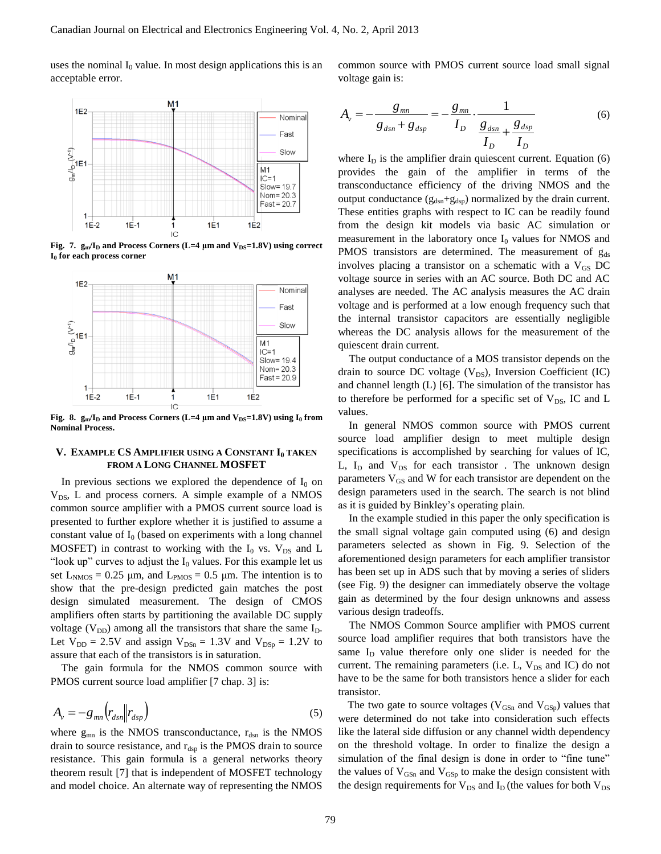uses the nominal  $I_0$  value. In most design applications this is an acceptable error.

M<sub>1</sub>  $1E2$ Nominal Fast Slow  $\sum_{n=1}^{n}1E1$ M1  $IC=1$ Slow= 19.7 Nom=20.3  $Fast = 20.7$  $1E1$  $1E-2$  $1E-1$ 1  $1E2$ IC

**Fig. 7.**  $g_m/I_D$  and Process Corners (L=4  $\mu$ m and  $V_{DS} = 1.8V$ ) using correct **I<sup>0</sup> for each process corner**



**Fig. 8.**  $g_m/I_D$  and Process Corners (L=4  $\mu$ m and  $V_{DS} = 1.8V$ ) using  $I_0$  from **Nominal Process.**

# **V. EXAMPLE CS AMPLIFIER USING A CONSTANT I<sup>0</sup> TAKEN FROM A LONG CHANNEL MOSFET**

In previous sections we explored the dependence of  $I_0$  on  $V_{DS}$ , L and process corners. A simple example of a NMOS common source amplifier with a PMOS current source load is presented to further explore whether it is justified to assume a constant value of  $I_0$  (based on experiments with a long channel MOSFET) in contrast to working with the  $I_0$  vs.  $V_{DS}$  and L "look up" curves to adjust the  $I_0$  values. For this example let us set  $L_{NMS} = 0.25 \mu m$ , and  $L_{PMS} = 0.5 \mu m$ . The intention is to show that the pre-design predicted gain matches the post design simulated measurement. The design of CMOS amplifiers often starts by partitioning the available DC supply voltage ( $V_{DD}$ ) among all the transistors that share the same  $I_D$ . Let  $V_{DD} = 2.5V$  and assign  $V_{DSn} = 1.3V$  and  $V_{DSp} = 1.2V$  to assure that each of the transistors is in saturation.

The gain formula for the NMOS common source with PMOS current source load amplifier [7 chap. 3] is:

$$
A_{\nu} = -g_{mn} \left( r_{dsn} \middle\| r_{dsp} \right) \tag{5}
$$

where  $g_{mn}$  is the NMOS transconductance,  $r_{dsn}$  is the NMOS drain to source resistance, and  $r_{\rm{dsp}}$  is the PMOS drain to source resistance. This gain formula is a general networks theory theorem result [7] that is independent of MOSFET technology and model choice. An alternate way of representing the NMOS

common source with PMOS current source load small signal voltage gain is:

$$
A_{v} = -\frac{g_{mn}}{g_{dsn} + g_{dsp}} = -\frac{g_{mn}}{I_D} \cdot \frac{1}{\frac{g_{dsn}}{I_D} + \frac{g_{dsp}}{I_D}}
$$
(6)

where  $I_D$  is the amplifier drain quiescent current. Equation (6) provides the gain of the amplifier in terms of the transconductance efficiency of the driving NMOS and the output conductance  $(g_{dsn}+g_{dsp})$  normalized by the drain current. These entities graphs with respect to IC can be readily found from the design kit models via basic AC simulation or measurement in the laboratory once  $I_0$  values for NMOS and PMOS transistors are determined. The measurement of  $g_{ds}$ involves placing a transistor on a schematic with a  $V_{GS}$  DC voltage source in series with an AC source. Both DC and AC analyses are needed. The AC analysis measures the AC drain voltage and is performed at a low enough frequency such that the internal transistor capacitors are essentially negligible whereas the DC analysis allows for the measurement of the quiescent drain current.

The output conductance of a MOS transistor depends on the drain to source DC voltage  $(V_{DS})$ , Inversion Coefficient (IC) and channel length (L) [6]. The simulation of the transistor has to therefore be performed for a specific set of  $V_{DS}$ , IC and L values.

In general NMOS common source with PMOS current source load amplifier design to meet multiple design specifications is accomplished by searching for values of IC, L,  $I_D$  and  $V_{DS}$  for each transistor. The unknown design parameters  $V_{GS}$  and W for each transistor are dependent on the design parameters used in the search. The search is not blind as it is guided by Binkley's operating plain.

In the example studied in this paper the only specification is the small signal voltage gain computed using (6) and design parameters selected as shown in Fig. 9. Selection of the aforementioned design parameters for each amplifier transistor has been set up in ADS such that by moving a series of sliders (see Fig. 9) the designer can immediately observe the voltage gain as determined by the four design unknowns and assess various design tradeoffs.

The NMOS Common Source amplifier with PMOS current source load amplifier requires that both transistors have the same I<sub>D</sub> value therefore only one slider is needed for the current. The remaining parameters (i.e.  $L$ ,  $V_{DS}$  and IC) do not have to be the same for both transistors hence a slider for each transistor.

The two gate to source voltages ( $V_{\text{GSn}}$  and  $V_{\text{GSp}}$ ) values that were determined do not take into consideration such effects like the lateral side diffusion or any channel width dependency on the threshold voltage. In order to finalize the design a simulation of the final design is done in order to "fine tune" the values of  $V_{GSn}$  and  $V_{GSp}$  to make the design consistent with the design requirements for  $V_{DS}$  and  $I_D$  (the values for both  $V_{DS}$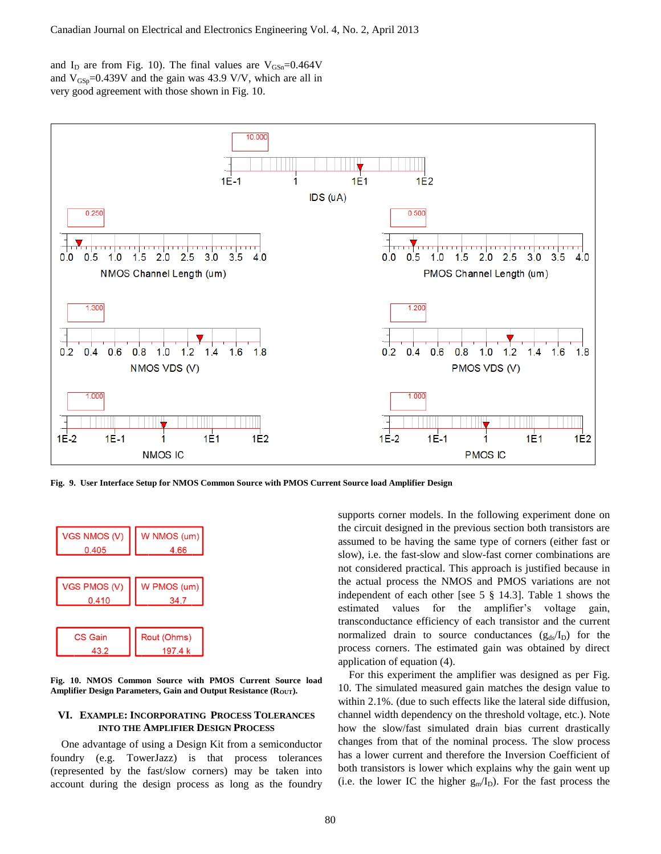and  $I_D$  are from Fig. 10). The final values are  $V_{GSn}$ =0.464V and  $V_{\text{GSp}}=0.439V$  and the gain was 43.9 V/V, which are all in very good agreement with those shown in Fig. 10.



**Fig. 9. User Interface Setup for NMOS Common Source with PMOS Current Source load Amplifier Design**



**Fig. 10. NMOS Common Source with PMOS Current Source load**  Amplifier Design Parameters, Gain and Output Resistance (R<sub>OUT</sub>).

# **VI. EXAMPLE: INCORPORATING PROCESS TOLERANCES INTO THE AMPLIFIER DESIGN PROCESS**

One advantage of using a Design Kit from a semiconductor foundry (e.g. TowerJazz) is that process tolerances (represented by the fast/slow corners) may be taken into account during the design process as long as the foundry supports corner models. In the following experiment done on the circuit designed in the previous section both transistors are assumed to be having the same type of corners (either fast or slow), i.e. the fast-slow and slow-fast corner combinations are not considered practical. This approach is justified because in the actual process the NMOS and PMOS variations are not independent of each other [see 5 § 14.3]. Table 1 shows the estimated values for the amplifier's voltage gain, transconductance efficiency of each transistor and the current normalized drain to source conductances  $(g_{ds}/I_D)$  for the process corners. The estimated gain was obtained by direct application of equation (4).

For this experiment the amplifier was designed as per Fig. 10. The simulated measured gain matches the design value to within 2.1%. (due to such effects like the lateral side diffusion, channel width dependency on the threshold voltage, etc.). Note how the slow/fast simulated drain bias current drastically changes from that of the nominal process. The slow process has a lower current and therefore the Inversion Coefficient of both transistors is lower which explains why the gain went up (i.e. the lower IC the higher  $g_m/I_D$ ). For the fast process the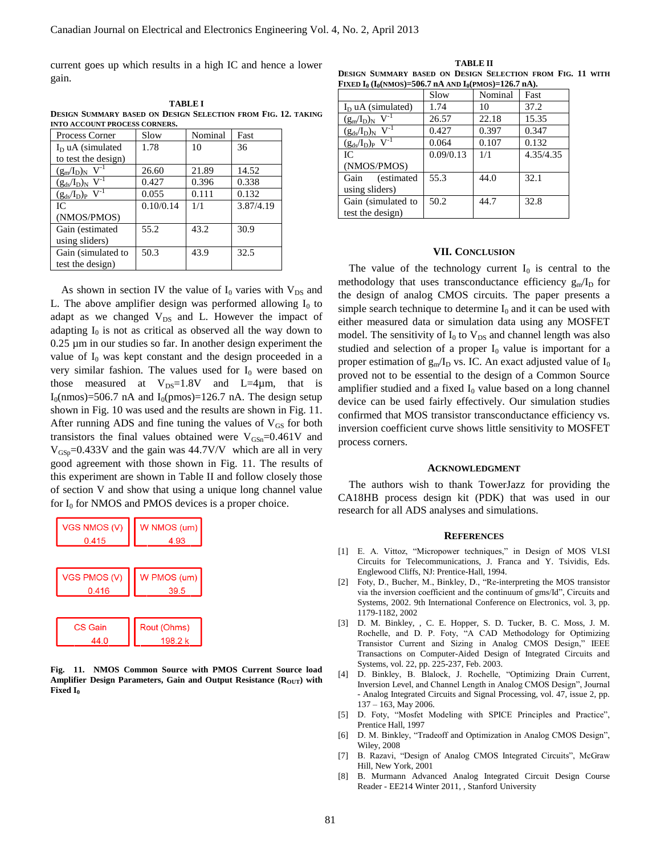current goes up which results in a high IC and hence a lower gain.

**TABLE I DESIGN SUMMARY BASED ON DESIGN SELECTION FROM FIG. 12. TAKING INTO ACCOUNT PROCESS CORNERS.**

| Process Corner                     | Slow      | Nominal | Fast      |
|------------------------------------|-----------|---------|-----------|
| $I_D$ uA (simulated                | 1.78      | 10      | 36        |
| to test the design)                |           |         |           |
| $(g_m/I_D)_N$ V <sup>-1</sup>      | 26.60     | 21.89   | 14.52     |
| $(g_{ds}/I_D)_{N}$ V <sup>-1</sup> | 0.427     | 0.396   | 0.338     |
| $(g_{ds}/I_D)_P$ V <sup>-1</sup>   | 0.055     | 0.111   | 0.132     |
| IС                                 | 0.10/0.14 | 1/1     | 3.87/4.19 |
| (NMOS/PMOS)                        |           |         |           |
| Gain (estimated                    | 55.2      | 43.2    | 30.9      |
| using sliders)                     |           |         |           |
| Gain (simulated to                 | 50.3      | 43.9    | 32.5      |
| test the design)                   |           |         |           |

As shown in section IV the value of  $I_0$  varies with  $V_{DS}$  and L. The above amplifier design was performed allowing  $I_0$  to adapt as we changed  $V_{DS}$  and L. However the impact of adapting  $I_0$  is not as critical as observed all the way down to 0.25 µm in our studies so far. In another design experiment the value of  $I_0$  was kept constant and the design proceeded in a very similar fashion. The values used for  $I_0$  were based on those measured at  $V_{DS}=1.8V$  and L=4 $\mu$ m, that is  $I_0$ (nmos)=506.7 nA and  $I_0$ (pmos)=126.7 nA. The design setup shown in Fig. 10 was used and the results are shown in Fig. 11. After running ADS and fine tuning the values of  $V_{GS}$  for both transistors the final values obtained were  $V_{\text{GSn}}=0.461V$  and  $V_{\text{GSp}}=0.433V$  and the gain was  $44.7V/V$  which are all in very good agreement with those shown in Fig. 11. The results of this experiment are shown in Table II and follow closely those of section V and show that using a unique long channel value for  $I_0$  for NMOS and PMOS devices is a proper choice.



**Fig. 11. NMOS Common Source with PMOS Current Source load**  Amplifier Design Parameters, Gain and Output Resistance (R<sub>OUT</sub>) with **Fixed I<sup>0</sup>**

**TABLE II DESIGN SUMMARY BASED ON DESIGN SELECTION FROM FIG. 11 WITH FIXED**  $I_0$  ( $I_0$ ( $NMOS$ )=506.7 **nA**  $AND$   $I_0$ ( $PMOS$ )=126.7 **nA**).

|                                             | Slow      | Nominal | Fast      |
|---------------------------------------------|-----------|---------|-----------|
| $I_D$ uA (simulated)                        | 1.74      | 10      | 37.2      |
| $(\frac{g_m}{I_D})_N$ V <sup>-1</sup>       | 26.57     | 22.18   | 15.35     |
| $(g_{ds}/I_D)$ <sub>N</sub> V <sup>-1</sup> | 0.427     | 0.397   | 0.347     |
| $(g_{ds}/I_D)_{P}$ V <sup>-1</sup>          | 0.064     | 0.107   | 0.132     |
| IC.                                         | 0.09/0.13 | 1/1     | 4.35/4.35 |
| (NMOS/PMOS)                                 |           |         |           |
| (estimated<br>Gain                          | 55.3      | 44.0    | 32.1      |
| using sliders)                              |           |         |           |
| Gain (simulated to                          | 50.2      | 44.7    | 32.8      |
| test the design)                            |           |         |           |

#### **VII. CONCLUSION**

The value of the technology current  $I_0$  is central to the methodology that uses transconductance efficiency  $g_m/I_D$  for the design of analog CMOS circuits. The paper presents a simple search technique to determine  $I_0$  and it can be used with either measured data or simulation data using any MOSFET model. The sensitivity of  $I_0$  to  $V_{DS}$  and channel length was also studied and selection of a proper  $I_0$  value is important for a proper estimation of  $g_m/I_D$  vs. IC. An exact adjusted value of  $I_0$ proved not to be essential to the design of a Common Source amplifier studied and a fixed  $I_0$  value based on a long channel device can be used fairly effectively. Our simulation studies confirmed that MOS transistor transconductance efficiency vs. inversion coefficient curve shows little sensitivity to MOSFET process corners.

#### **ACKNOWLEDGMENT**

The authors wish to thank TowerJazz for providing the CA18HB process design kit (PDK) that was used in our research for all ADS analyses and simulations.

### **REFERENCES**

- [1] E. A. Vittoz, "Micropower techniques," in Design of MOS VLSI Circuits for Telecommunications, J. Franca and Y. Tsividis, Eds. Englewood Cliffs, NJ: Prentice-Hall, 1994.
- [2] Foty, D., Bucher, M., Binkley, D., "Re-interpreting the MOS transistor via the inversion coefficient and the continuum of gms/Id", Circuits and Systems, 2002. 9th International Conference on Electronics, vol. 3, pp. 1179-1182, 2002
- [3] D. M. Binkley, , C. E. Hopper, S. D. Tucker, B. C. Moss, J. M. Rochelle, and D. P. Foty, "A CAD Methodology for Optimizing Transistor Current and Sizing in Analog CMOS Design," IEEE Transactions on Computer-Aided Design of Integrated Circuits and Systems, vol. 22, pp. 225-237, Feb. 2003.
- [4] D. Binkley, B. Blalock, J. Rochelle, "Optimizing Drain Current, Inversion Level, and Channel Length in Analog CMOS Design", Journal - Analog Integrated Circuits and Signal Processing, vol. 47, issue 2, pp. 137 – 163, May 2006.
- [5] D. Foty, "Mosfet Modeling with SPICE Principles and Practice", Prentice Hall, 1997
- [6] D. M. Binkley, "Tradeoff and Optimization in Analog CMOS Design", Wiley, 2008
- [7] B. Razavi, "Design of Analog CMOS Integrated Circuits", McGraw Hill, New York, 2001
- [8] B. Murmann Advanced Analog Integrated Circuit Design Course Reader - EE214 Winter 2011, , Stanford University